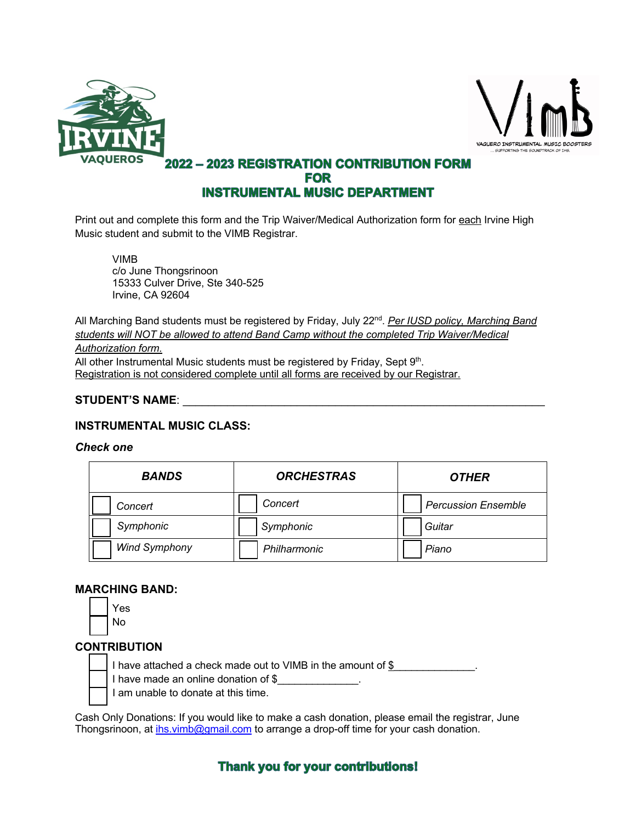



# **2022 - 2023 REGISTRATION CONTRIBUTION FORM FOR INSTRUMENTAL MUSIC DEPARTMENT**

Print out and complete this form and the Trip Waiver/Medical Authorization form for each Irvine High Music student and submit to the VIMB Registrar.

VIMB c/o June Thongsrinoon 15333 Culver Drive, Ste 340-525 Irvine, CA 92604

All Marching Band students must be registered by Friday, July 22<sup>nd</sup>. Per IUSD policy, Marching Band *students will NOT be allowed to attend Band Camp without the completed Trip Waiver/Medical* 

#### *Authorization form.*

All other Instrumental Music students must be registered by Friday, Sept 9th. Registration is not considered complete until all forms are received by our Registrar.

### **STUDENT'S NAME**: \_\_\_\_\_\_\_\_\_\_\_\_\_\_\_\_\_\_\_\_\_\_\_\_\_\_\_\_\_\_\_\_\_\_\_\_\_\_\_\_\_\_\_\_\_\_\_\_\_\_\_\_\_\_\_\_\_

### **INSTRUMENTAL MUSIC CLASS:**

#### *Check one*

| <b>BANDS</b>         | <b>ORCHESTRAS</b> | <b>OTHER</b>               |
|----------------------|-------------------|----------------------------|
| Concert              | Concert           | <b>Percussion Ensemble</b> |
| Symphonic            | Symphonic         | Guitar                     |
| <b>Wind Symphony</b> | Philharmonic      | Piano                      |

#### **MARCHING BAND:**

| es |
|----|
| N٥ |

## **CONTRIBUTION**

I have attached a check made out to VIMB in the amount of \$

I have made an online donation of \$

I am unable to donate at this time.

Cash Only Donations: If you would like to make a cash donation, please email the registrar, June Thongsrinoon, at ihs.vimb@gmail.com to arrange a drop-off time for your cash donation.

## **Thank you for your contributions!**